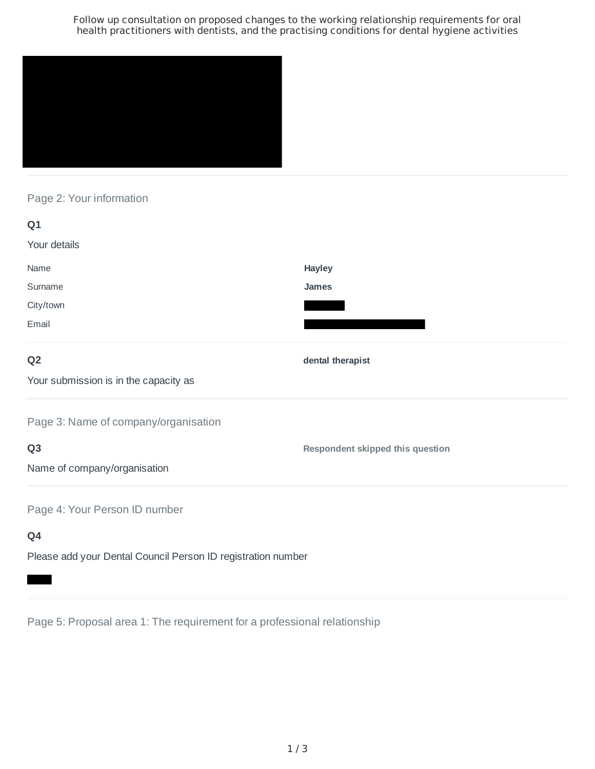Follow up consultation on proposed changes to the working relationship requirements for oral health practitioners with dentists, and the practising conditions for dental hygiene activities



# Page 2: Your information

| Q <sub>1</sub>                        |                                  |
|---------------------------------------|----------------------------------|
| Your details                          |                                  |
| Name                                  | Hayley                           |
| Surname                               | <b>James</b>                     |
| City/town                             |                                  |
| Email                                 |                                  |
| Q <sub>2</sub>                        | dental therapist                 |
| Your submission is in the capacity as |                                  |
| Page 3: Name of company/organisation  |                                  |
| Q <sub>3</sub>                        | Respondent skipped this question |
| Name of company/organisation          |                                  |
| Page 4: Your Person ID number         |                                  |
| Q4                                    |                                  |

Please add your Dental Council Person ID registration number

Page 5: Proposal area 1: The requirement for a professional relationship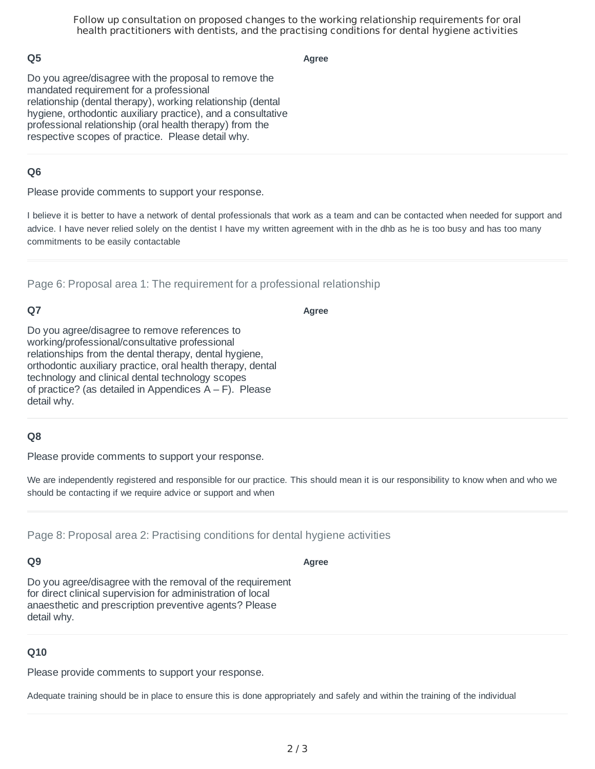Follow up consultation on proposed changes to the working relationship requirements for oral health practitioners with dentists, and the practising conditions for dental hygiene activities

### **Q5**

**Agree**

Do you agree/disagree with the proposal to remove the mandated requirement for a professional relationship (dental therapy), working relationship (dental hygiene, orthodontic auxiliary practice), and a consultative professional relationship (oral health therapy) from the respective scopes of practice. Please detail why.

### **Q6**

Please provide comments to support your response.

I believe it is better to have a network of dental professionals that work as a team and can be contacted when needed for support and advice. I have never relied solely on the dentist I have my written agreement with in the dhb as he is too busy and has too many commitments to be easily contactable

Page 6: Proposal area 1: The requirement for a professional relationship

# **Q7**

**Agree**

Do you agree/disagree to remove references to working/professional/consultative professional relationships from the dental therapy, dental hygiene, orthodontic auxiliary practice, oral health therapy, dental technology and clinical dental technology scopes of practice? (as detailed in Appendices  $A - F$ ). Please detail why.

### **Q8**

Please provide comments to support your response.

We are independently registered and responsible for our practice. This should mean it is our responsibility to know when and who we should be contacting if we require advice or support and when

Page 8: Proposal area 2: Practising conditions for dental hygiene activities

#### **Q9**

**Agree**

Do you agree/disagree with the removal of the requirement for direct clinical supervision for administration of local anaesthetic and prescription preventive agents? Please detail why.

### **Q10**

Please provide comments to support your response.

Adequate training should be in place to ensure this is done appropriately and safely and within the training of the individual